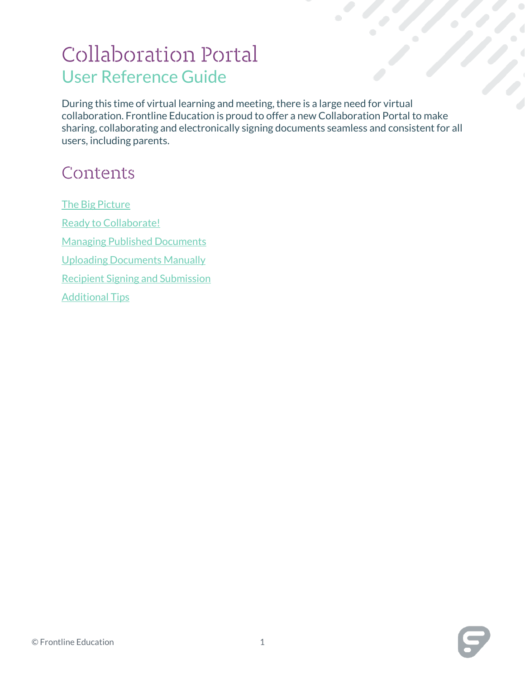# **Collaboration Portal** User Reference Guide

During this time of virtual learning and meeting, there is a large need for virtual collaboration. Frontline Education is proud to offer a new Collaboration Portal to make sharing, collaborating and electronically signing documents seamless and consistent for all users, including parents.

## Contents

<span id="page-0-0"></span>[The Big Picture](#page-0-0) [Ready to Collaborate!](#page-1-0) [Managing Published Documents](#page-5-0) [Uploading Documents Manually](#page-8-0) [Recipient Signing and Submission](#page-11-0) [Additional Tips](#page-14-0)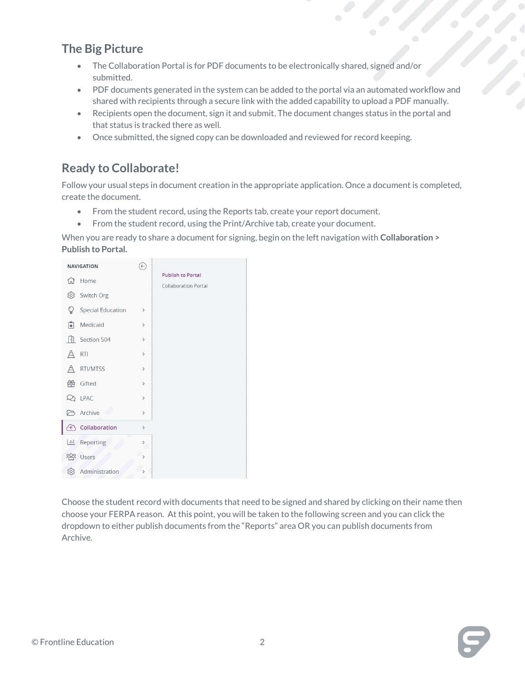## **The Big Picture**

- The Collaboration Portal is for PDF documents to be electronically shared, signed and/or submitted.
- PDF documents generated in the system can be added to the portal via an automated workflow and shared with recipients through a secure link with the added capability to upload a PDF manually.
- Recipients open the document, sign it and submit. The document changes status in the portal and that status is tracked there as well.
- Once submitted, the signed copy can be downloaded and reviewed for record keeping.

## <span id="page-1-0"></span>**Ready to Collaborate!**

Follow your usual steps in document creation in the appropriate application. Once a document is completed, create the document.

- From the student record, using the Reports tab, create your report document.
- From the student record, using the Print/Archive tab, create your document.

When you are ready to share a document for signing, begin on the left navigation with **Collaboration > Publish to Portal.**

| <b>NAVIGATION</b> |                          | €             |                                                         |
|-------------------|--------------------------|---------------|---------------------------------------------------------|
| 佡                 | Home                     |               | <b>Publish to Portal</b><br><b>Collaboration Portal</b> |
| ශ                 | Switch Org               |               |                                                         |
| ਊ                 | <b>Special Education</b> | $\,$          |                                                         |
| 閘                 | Medicaid                 | $\,$          |                                                         |
|                   | Section 504              | $\,$          |                                                         |
| Δ                 | <b>RTI</b>               | $\mathcal{P}$ |                                                         |
| A                 | RTI/MTSS                 | $\mathcal{P}$ |                                                         |
| 笽                 | Gifted                   | $\,$          |                                                         |
| బ                 | LPAC                     | $\mathcal{P}$ |                                                         |
|                   | Archive                  | $\rightarrow$ |                                                         |
| 个                 | Collaboration            | $\rightarrow$ |                                                         |
|                   | Reporting                | $\rightarrow$ |                                                         |
| <u> 200</u>       | Users                    | $\mathcal{P}$ |                                                         |
| හි                | Administration           | $\mathcal{P}$ |                                                         |

Choose the student record with documents that need to be signed and shared by clicking on their name then choose your FERPA reason. At this point, you will be taken to the following screen and you can click the dropdown to either publish documents from the "Reports" area OR you can publish documents from Archive.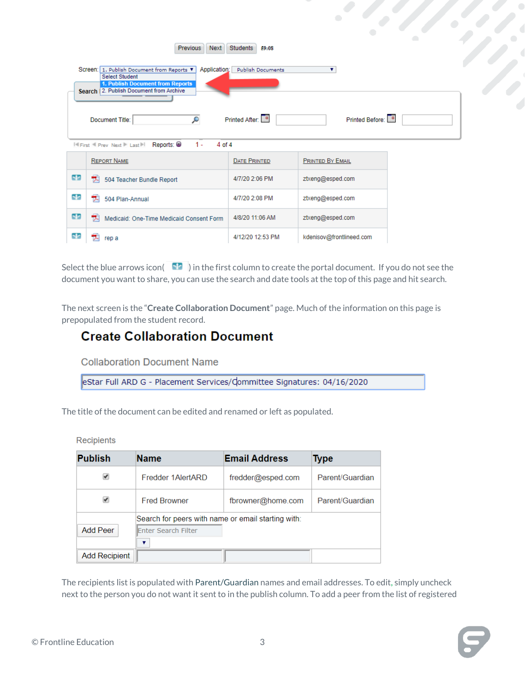|     | Students<br><b>Previous</b><br>Next<br>59:08<br>۰,<br>Screen: 1. Publish Document from Reports ▼<br>Application:<br><b>Publish Documents</b><br>۷<br><b>Select Student</b><br>1. Publish Document from Reports<br>Search 2. Publish Document from Archive |                     |                          |  |  |  |  |  |
|-----|-----------------------------------------------------------------------------------------------------------------------------------------------------------------------------------------------------------------------------------------------------------|---------------------|--------------------------|--|--|--|--|--|
|     | Q<br>Document Title:<br>$1 -$<br><b>IN First Next Prev Next Press Planet Preports:</b><br>$4$ of $4$                                                                                                                                                      | Printed After:      | Printed Before:          |  |  |  |  |  |
|     | <b>REPORT NAME</b>                                                                                                                                                                                                                                        | <b>DATE PRINTED</b> | <b>PRINTED BY EMAIL</b>  |  |  |  |  |  |
| 50  | T.<br>504 Teacher Bundle Report                                                                                                                                                                                                                           | 4/7/20 2:06 PM      | ztxeng@esped.com         |  |  |  |  |  |
| No. | 17.<br>504 Plan-Annual                                                                                                                                                                                                                                    | 4/7/20 2:08 PM      | ztxeng@esped.com         |  |  |  |  |  |
| 50  | ᇼ<br>Medicaid: One-Time Medicaid Consent Form                                                                                                                                                                                                             | 4/8/20 11:06 AM     | ztxeng@esped.com         |  |  |  |  |  |
| 50  | rep a                                                                                                                                                                                                                                                     | 4/12/20 12:53 PM    | kdenisov@frontlineed.com |  |  |  |  |  |

Select the blue arrows icon( $\blacksquare$ ) in the first column to create the portal document. If you do not see the document you want to share, you can use the search and date tools at the top of this page and hit search.

The next screen is the "**Create Collaboration Document**" page. Much of the information on this page is prepopulated from the student record.

## **Create Collaboration Document**

**Collaboration Document Name** 

eStar Full ARD G - Placement Services/dommittee Signatures: 04/16/2020

The title of the document can be edited and renamed or left as populated.

Recipients

| <b>Publish</b>       | <b>Name</b>                                        | <b>Email Address</b> | <b>Type</b>     |
|----------------------|----------------------------------------------------|----------------------|-----------------|
|                      | Fredder 1AlertARD                                  | fredder@esped.com    | Parent/Guardian |
|                      | <b>Fred Browner</b>                                | fbrowner@home.com    | Parent/Guardian |
|                      | Search for peers with name or email starting with: |                      |                 |
| Add Peer             | <b>Enter Search Filter</b>                         |                      |                 |
|                      | ▼                                                  |                      |                 |
| <b>Add Recipient</b> |                                                    |                      |                 |

The recipients list is populated with Parent/Guardian names and email addresses. To edit, simply uncheck next to the person you do not want it sent to in the publish column. To add a peer from the list of registered



 $\bullet$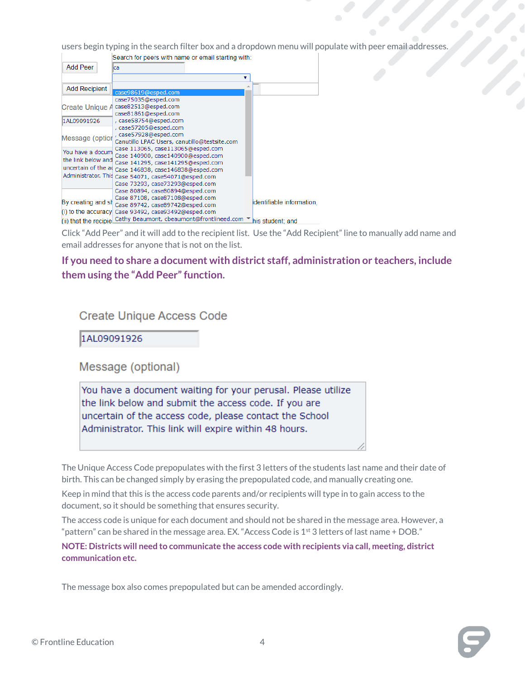users begin typing in the search filter box and a dropdown menu will populate with peer email addresses.

|                                                                                      | Search for peers with name or email starting with:                                                                                                                                                                     |                           |
|--------------------------------------------------------------------------------------|------------------------------------------------------------------------------------------------------------------------------------------------------------------------------------------------------------------------|---------------------------|
| Add Peer                                                                             | lca                                                                                                                                                                                                                    |                           |
|                                                                                      | ▼                                                                                                                                                                                                                      |                           |
| <b>Add Recipient</b>                                                                 | case98619@esped.com                                                                                                                                                                                                    |                           |
| Create Unique A                                                                      | case75035@esped.com<br>case82513@esped.com<br>case81861@esped.com                                                                                                                                                      |                           |
| 1AL09091926                                                                          | , case58754@esped.com                                                                                                                                                                                                  |                           |
| Message (optior                                                                      | , case57205@esped.com<br>, case57928@esped.com<br>Canutillo LPAC Users, canutillo@testsite.com                                                                                                                         |                           |
| You have a docum<br>the link below and<br>uncertain of the ad<br>Administrator, This | Case 113065, case113065@esped.com<br>Case 140900, case140900@esped.com<br>Case 141295, case141295@esped.com<br>Case 146838, case146838@esped.com<br>Case 54071, case54071@esped.com<br>Case 73293, case73293@esped.com |                           |
| By creating and sh<br>(i) to the accuracy<br>(ii) that the recipieL                  | Case 80894, case80894@esped.com<br>Case 87108, case87108@esped.com<br>Case 89742, case89742@esped.com<br>Case 93492, case93492@esped.com<br>Cathy Beaumont, cbeaumont@frontlineed.com ▼ his student; and               | identifiable information. |

Click "Add Peer" and it will add to the recipient list. Use the "Add Recipient" line to manually add name and email addresses for anyone that is not on the list.

#### **If you need to share a document with district staff, administration or teachers, include them using the "Add Peer" function.**

#### **Create Unique Access Code**

1AL09091926

Message (optional)

You have a document waiting for your perusal. Please utilize the link below and submit the access code. If you are uncertain of the access code, please contact the School Administrator. This link will expire within 48 hours.

The Unique Access Code prepopulates with the first 3 letters of the students last name and their date of birth. This can be changed simply by erasing the prepopulated code, and manually creating one.

Keep in mind that this is the access code parents and/or recipients will type in to gain access to the document, so it should be something that ensures security.

The access code is unique for each document and should not be shared in the message area. However, a "pattern" can be shared in the message area. EX. "Access Code is  $1<sup>st</sup>$  3 letters of last name + DOB."

**NOTE: Districts will need to communicate the access code with recipients via call, meeting, district communication etc.** 

The message box also comes prepopulated but can be amended accordingly.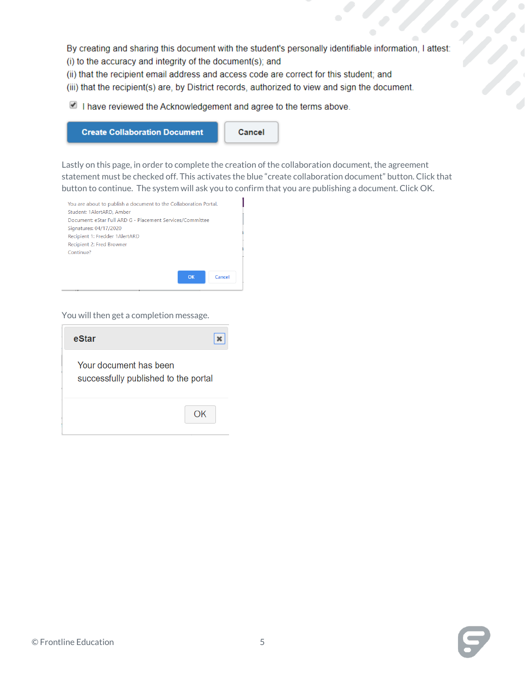By creating and sharing this document with the student's personally identifiable information, I attest:

- (i) to the accuracy and integrity of the document(s); and
- (ii) that the recipient email address and access code are correct for this student; and
- (iii) that the recipient(s) are, by District records, authorized to view and sign the document.

I have reviewed the Acknowledgement and agree to the terms above.



Lastly on this page, in order to complete the creation of the collaboration document, the agreement statement must be checked off. This activates the blue "create collaboration document" button. Click that button to continue. The system will ask you to confirm that you are publishing a document. Click OK.



You will then get a completion message.

| eStar                                                          |  |
|----------------------------------------------------------------|--|
| Your document has been<br>successfully published to the portal |  |
| OK                                                             |  |

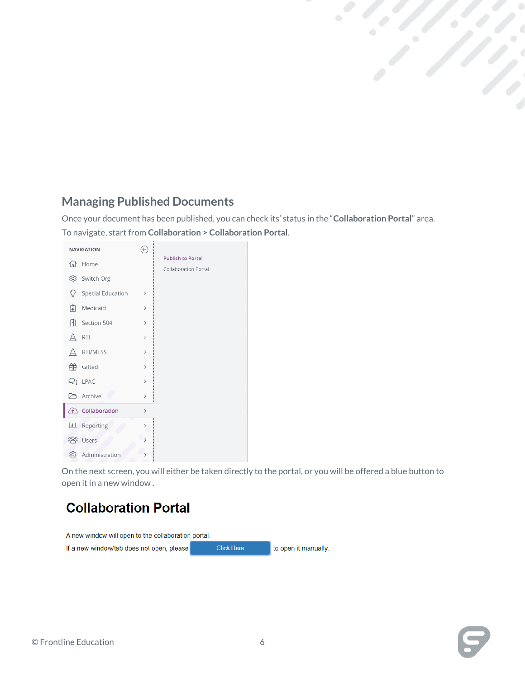## <span id="page-5-0"></span>**Managing Published Documents**

Once your document has been published, you can check its' status in the "**Collaboration Portal**" area. To navigate, start from **Collaboration > Collaboration Portal**.

|             | <b>NAVIGATION</b> | $\leftarrow$                 |                                                         |
|-------------|-------------------|------------------------------|---------------------------------------------------------|
| 佡           | Home              |                              | <b>Publish to Portal</b><br><b>Collaboration Portal</b> |
| ශ           | Switch Org        |                              |                                                         |
| V           | Special Education | $\mathcal{P}$                |                                                         |
| Ĥ           | Medicaid          | $\rightarrow$                |                                                         |
| ŀН          | Section 504       | $\rightarrow$                |                                                         |
| Δ           | <b>RTI</b>        | $\rightarrow$                |                                                         |
|             | RTI/MTSS          | $\,$                         |                                                         |
| 笧           | Gifted            | $\,$                         |                                                         |
| D           | LPAC              | $\,$                         |                                                         |
|             | Archive           | $\,$                         |                                                         |
| 个           | Collaboration     | $\,$                         |                                                         |
| 匝           | Reporting         | $\left\langle \right\rangle$ |                                                         |
| <u> 200</u> | Users             |                              |                                                         |
| හි          | Administration    |                              |                                                         |

On the next screen, you will either be taken directly to the portal, or you will be offered a blue button to open it in a new window .

## **Collaboration Portal**

A new window will open to the collaboration portal. **Click Here** to open it manually. If a new window/tab does not open, please

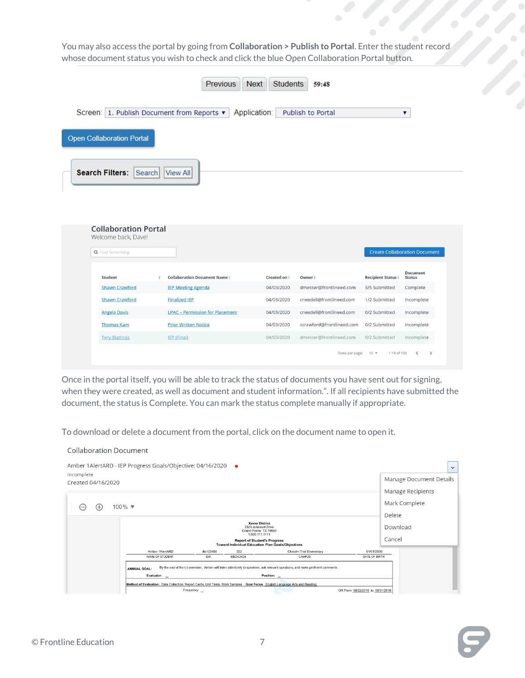You may also access the portal by going from **Collaboration > Publish to Portal**. Enter the student record whose document status you wish to check and click the blue Open Collaboration Portal button.

| <b>Previous</b><br><b>Next</b><br><b>Students</b><br>59:48                                                |                       |                                                            |              |                           |                          |                                      |  |  |
|-----------------------------------------------------------------------------------------------------------|-----------------------|------------------------------------------------------------|--------------|---------------------------|--------------------------|--------------------------------------|--|--|
|                                                                                                           |                       | Screen: 1. Publish Document from Reports ▼<br>Application: |              | Publish to Portal         |                          | ۷                                    |  |  |
| <b>Open Collaboration Portal</b>                                                                          |                       |                                                            |              |                           |                          |                                      |  |  |
| <b>Search Filters:</b><br>Search<br><b>View All</b><br><b>Collaboration Portal</b><br>Welcome back, Dave! |                       |                                                            |              |                           |                          |                                      |  |  |
| Q Find Something                                                                                          |                       |                                                            |              |                           |                          | <b>Create Collaboration Document</b> |  |  |
| Student                                                                                                   | ÷                     | <b>Collaboration Document Name:</b>                        | Created on : | Owner:                    | <b>Recipient Status:</b> | <b>Document</b><br><b>Status</b>     |  |  |
|                                                                                                           | <b>Shawn Crawford</b> | <b>IEP Meeting Agenda</b>                                  | 04/03/2020   | dmesser@frontlineed.com   | 5/5 Submitted            | Complete                             |  |  |
| <b>Shawn Crawford</b>                                                                                     |                       | <b>Finalized IEP</b>                                       | 04/03/2020   | cneedell@frontlineed.com  | 1/2 Submitted            | Incomplete                           |  |  |
| <b>Angela Davis</b>                                                                                       |                       | <b>LPAC - Permission for Placement</b>                     | 04/03/2020   | cneedell@frontlineed.com  | 0/2 Submitted            | Incomplete                           |  |  |
| <b>Thomas Kam</b>                                                                                         |                       | <b>Prior Written Notice</b>                                | 04/03/2020   | scrawford@frontlineed.com | 0/2 Submitted            | Incomplete                           |  |  |
| <b>Tory Blathras</b>                                                                                      |                       | IEP (Final)                                                | 04/03/2020   | dmesser@frontlineed.com   | 0/2 Submitted            | Incomplete                           |  |  |
|                                                                                                           |                       |                                                            |              | Rows per page:            | $10 -$<br>1-10 of 100    | $\rightarrow$<br>z                   |  |  |

Once in the portal itself, you will be able to track the status of documents you have sent out for signing, when they were created, as well as document and student information.". If all recipients have submitted the document, the status is Complete. You can mark the status complete manually if appropriate.

To download or delete a document from the portal, click on the document name to open it.

| Amber 1AlertARD - IEP Progress Goals/Objective: 04/16/2020<br>$\bullet$                                                                                |                                  | $\checkmark$            |
|--------------------------------------------------------------------------------------------------------------------------------------------------------|----------------------------------|-------------------------|
| Incomplete<br>Created 04/16/2020                                                                                                                       |                                  | Manage Document Details |
|                                                                                                                                                        |                                  | Manage Recipients       |
| $100\%$ $\blacktriangledown$<br>(+)                                                                                                                    |                                  | Mark Complete           |
|                                                                                                                                                        |                                  | Delete                  |
| <b>Xavier District</b><br>2323 Johnsont Drive<br>Grand Prairie, TX 79849<br>1.800.111.1111                                                             |                                  | Download                |
| <b>Report of Student's Progress</b><br><b>Toward Individual Education Plan Goals/Objectives</b>                                                        |                                  | Cancel                  |
| 222<br>Amber 1AlertARD<br>dts123456<br>Chisolm Trail Elementary                                                                                        | 01/01/2000                       |                         |
| NAME OF STUDENT<br>MEDICAID#<br>ID#:<br>CAMPUS                                                                                                         | DATE OF BIRTH                    |                         |
| By the end of the () semester, Amber will listen attentively to speakers, ask relevant questions, and make pertinent comments .<br><b>ANNUAL GOAL:</b> |                                  |                         |
| Position: _<br>Evaluator: _                                                                                                                            |                                  |                         |
| Method of Evaluation: Data Collection, Report Cards, Unit Tests, Work Samples Goal Focus English Language Arts and Reading                             |                                  |                         |
| Frequency:                                                                                                                                             | OR From 08/22/2016 to 08/31/2016 |                         |

**Collaboration Document**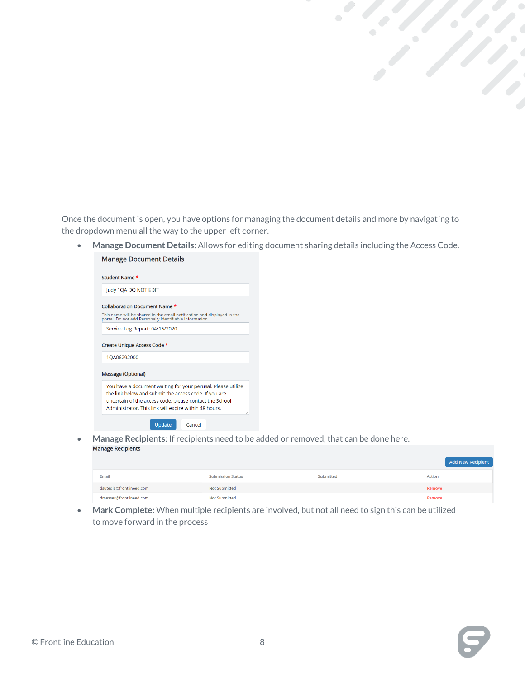Once the document is open, you have options for managing the document details and more by navigating to the dropdown menu all the way to the upper left corner.

• **Manage Document Details**: Allows for editing document sharing details including the Access Code. **Manage Document Details** 

| Judy 1QA DO NOT EDIT           |                                                                                                                                    |
|--------------------------------|------------------------------------------------------------------------------------------------------------------------------------|
| Collaboration Document Name *  |                                                                                                                                    |
|                                | This name will be shared in the email notification and displayed in the<br>portal. Do not add Personally Identifiable Information. |
| Service Log Report: 04/16/2020 |                                                                                                                                    |
| Create Unique Access Code *    |                                                                                                                                    |
| 1QA06292000                    |                                                                                                                                    |
| <b>Message (Optional)</b>      |                                                                                                                                    |

• **Manage Recipients**: If recipients need to be added or removed, that can be done here.

|                          |                          |           | Add New Recipient |
|--------------------------|--------------------------|-----------|-------------------|
| Email                    | <b>Submission Status</b> | Submitted | Action            |
| dsutedja@frontlineed.com | Not Submitted            |           | Remove            |
| dmesser@frontlineed.com  | <b>Not Submitted</b>     |           | Remove            |

• **Mark Complete:** When multiple recipients are involved, but not all need to sign this can be utilized to move forward in the process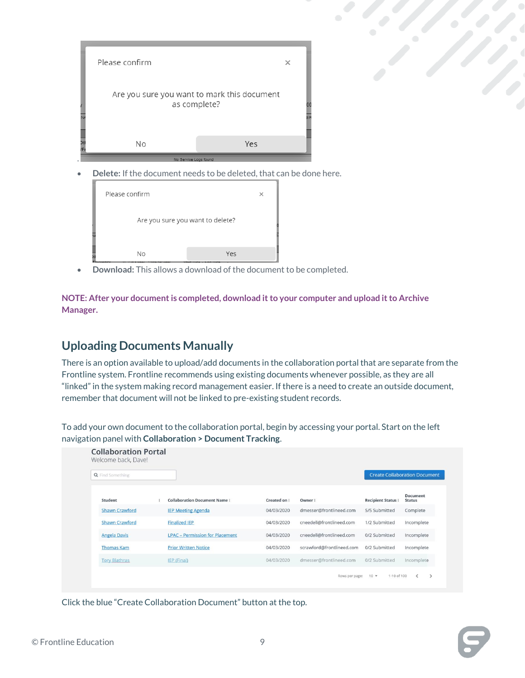



• **Download:** This allows a download of the document to be completed.

**NOTE: After your document is completed, download it to your computer and upload it to Archive Manager.** 

## <span id="page-8-0"></span>**Uploading Documents Manually**

There is an option available to upload/add documents in the collaboration portal that are separate from the Frontline system. Frontline recommends using existing documents whenever possible, as they are all "linked" in the system making record management easier. If there is a need to create an outside document, remember that document will not be linked to pre-existing student records.

To add your own document to the collaboration portal, begin by accessing your portal. Start on the left navigation panel with **Collaboration > Document Tracking**.

| <b>Q</b> Find Something |                                        |              |                           | <b>Create Collaboration Document</b> |                                  |
|-------------------------|----------------------------------------|--------------|---------------------------|--------------------------------------|----------------------------------|
| Student                 | <b>Collaboration Document Name:</b>    | Created on : | Owner:                    | <b>Recipient Status:</b>             | <b>Document</b><br><b>Status</b> |
| <b>Shawn Crawford</b>   | <b>IEP Meeting Agenda</b>              | 04/03/2020   | dmesser@frontlineed.com   | 5/5 Submitted                        | Complete                         |
| <b>Shawn Crawford</b>   | <b>Finalized IEP</b>                   | 04/03/2020   | cneedell@frontlineed.com  | 1/2 Submitted                        | Incomplete                       |
| <b>Angela Davis</b>     | <b>LPAC - Permission for Placement</b> | 04/03/2020   | cneedell@frontlineed.com  | 0/2 Submitted                        | Incomplete                       |
| <b>Thomas Kam</b>       | <b>Prior Written Notice</b>            | 04/03/2020   | scrawford@frontlineed.com | 0/2 Submitted                        | Incomplete                       |
| <b>Tory Blathras</b>    | IEP (Final)                            | 04/03/2020   | dmesser@frontlineed.com   | 0/2 Submitted                        | Incomplete                       |

Click the blue "Create Collaboration Document" button at the top.

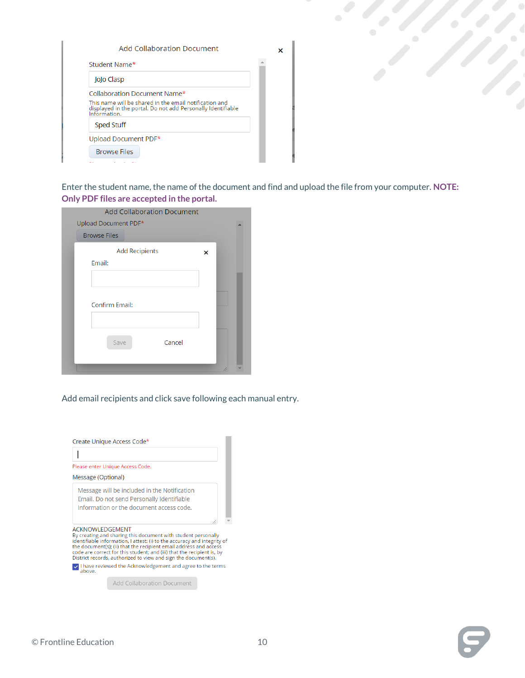| Add Collaboration Document                                                                                                                                            |  |
|-----------------------------------------------------------------------------------------------------------------------------------------------------------------------|--|
| Student Name*                                                                                                                                                         |  |
| JoJo Clasp                                                                                                                                                            |  |
| Collaboration Document Name*<br>This name will be shared in the email notification and<br>displayed in the portal. Do not add Personally Identifiable<br>Information. |  |
| <b>Sped Stuff</b>                                                                                                                                                     |  |
| Upload Document PDF*                                                                                                                                                  |  |
| <b>Browse Files</b>                                                                                                                                                   |  |
|                                                                                                                                                                       |  |

Enter the student name, the name of the document and find and upload the file from your computer. **NOTE: Only PDF files are accepted in the portal.** 

 $\langle \cdot \rangle$ 

| <b>Add Collaboration Document</b> |   |    |  |
|-----------------------------------|---|----|--|
| Upload Document PDF*              |   |    |  |
| <b>Browse Files</b>               |   |    |  |
| <b>Add Recipients</b>             | × |    |  |
| Email:                            |   |    |  |
|                                   |   |    |  |
|                                   |   |    |  |
| Confirm Email:                    |   |    |  |
|                                   |   |    |  |
| Cancel<br>Save                    |   |    |  |
|                                   |   | /1 |  |

Add email recipients and click save following each manual entry.



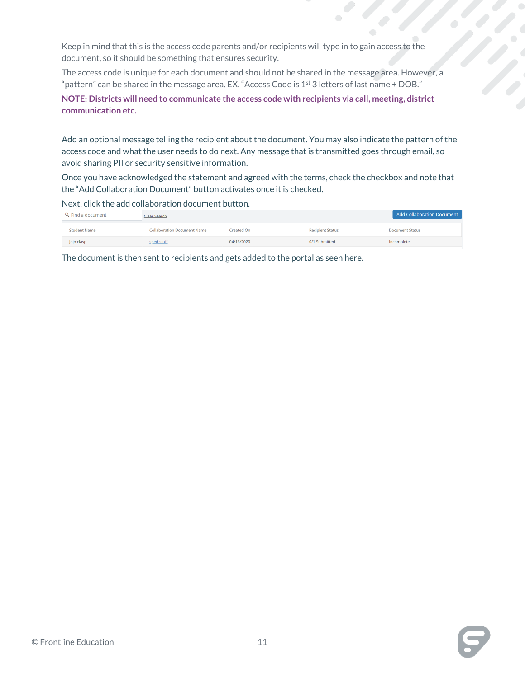Keep in mind that this is the access code parents and/or recipients will type in to gain access to the document, so it should be something that ensures security.

The access code is unique for each document and should not be shared in the message area. However, a "pattern" can be shared in the message area. EX. "Access Code is  $1<sup>st</sup>$  3 letters of last name + DOB."

**NOTE: Districts will need to communicate the access code with recipients via call, meeting, district communication etc.** 

Add an optional message telling the recipient about the document. You may also indicate the pattern of the access code and what the user needs to do next. Any message that is transmitted goes through email, so avoid sharing PII or security sensitive information.

Once you have acknowledged the statement and agreed with the terms, check the checkbox and note that the "Add Collaboration Document" button activates once it is checked.

Next, click the add collaboration document button.

| Q Find a document   | Clear Search                       |            |                         | <b>Add Collaboration Document</b> |
|---------------------|------------------------------------|------------|-------------------------|-----------------------------------|
| <b>Student Name</b> | <b>Collaboration Document Name</b> | Created On | <b>Recipient Status</b> | <b>Document Status</b>            |
| Jojo clasp          | sped stuff                         | 04/16/2020 | 0/1 Submitted           | Incomplete                        |

The document is then sent to recipients and gets added to the portal as seen here.

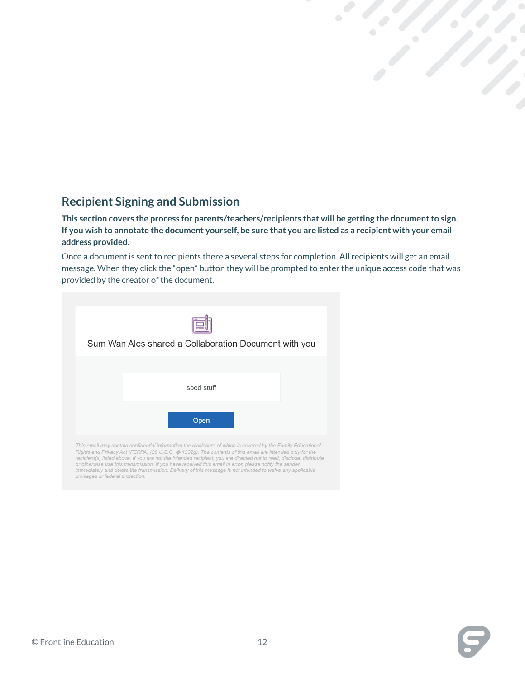## <span id="page-11-0"></span>**Recipient Signing and Submission**

**This section covers the process for parents/teachers/recipients that will be getting the document to sign**. **If you wish to annotate the document yourself, be sure that you are listed as a recipient with your email address provided.** 

Once a document is sent to recipients there a several steps for completion. All recipients will get an email message. When they click the "open" button they will be prompted to enter the unique access code that was provided by the creator of the document.

| Sum Wan Ales shared a Collaboration Document with you                                                        |  |
|--------------------------------------------------------------------------------------------------------------|--|
|                                                                                                              |  |
|                                                                                                              |  |
| sped stuff                                                                                                   |  |
|                                                                                                              |  |
|                                                                                                              |  |
| Open                                                                                                         |  |
| This email may contain confidential information the disclosure of which is covered by the Family Educational |  |



privileges or federal protection.



 $\langle \cdot \rangle$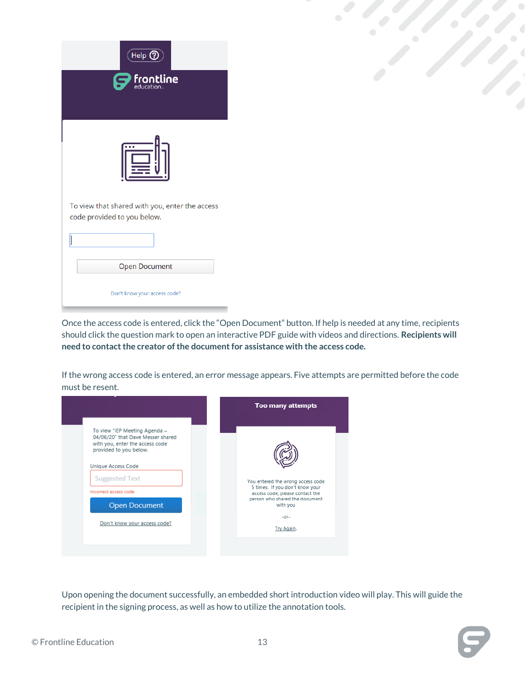| $($ Help $\textcircled{\scriptsize{2}}$<br>frontline                          | $\langle \rangle$ |
|-------------------------------------------------------------------------------|-------------------|
| $\cdots$                                                                      |                   |
| To view that shared with you, enter the access<br>code provided to you below. |                   |
|                                                                               |                   |
| Open Document                                                                 |                   |
| Don't know your access code?                                                  |                   |

Once the access code is entered, click the "Open Document" button. If help is needed at any time, recipients should click the question mark to open an interactive PDF guide with videos and directions. **Recipients will need to contact the creator of the document for assistance with the access code.** 

If the wrong access code is entered, an error message appears. Five attempts are permitted before the code must be resent.



Upon opening the document successfully, an embedded short introduction video will play. This will guide the recipient in the signing process, as well as how to utilize the annotation tools.

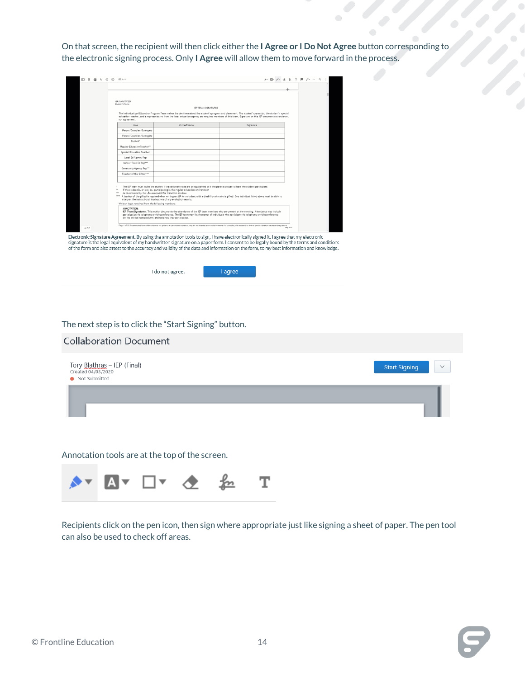On that screen, the recipient will then click either the **I Agree or I Do Not Agree** button corresponding to the electronic signing process. Only **I Agree** will allow them to move forward in the process.

|      | IEP (ANNOTATED)<br><b>Student's Name</b>               |                                                                                                                                                                                                                       |                                                                                                                                                                                                                                                                                                                   |           |  |
|------|--------------------------------------------------------|-----------------------------------------------------------------------------------------------------------------------------------------------------------------------------------------------------------------------|-------------------------------------------------------------------------------------------------------------------------------------------------------------------------------------------------------------------------------------------------------------------------------------------------------------------|-----------|--|
|      |                                                        | IEPTEAM/SIGNATURES                                                                                                                                                                                                    |                                                                                                                                                                                                                                                                                                                   |           |  |
|      | not agreement.                                         |                                                                                                                                                                                                                       | The Individualized Education Program Team makes the decisions about the student's program and placement. The student's parent(s), the student's special<br>education teacher, and a representative from the local education agency are required members of this team. Signature on this IEP documents attendance, |           |  |
|      | Role                                                   | Printed Name                                                                                                                                                                                                          | Signature                                                                                                                                                                                                                                                                                                         |           |  |
|      | Parent/Guardian/Surrocate                              |                                                                                                                                                                                                                       |                                                                                                                                                                                                                                                                                                                   |           |  |
|      | Parent/Guardian/Surrogate                              |                                                                                                                                                                                                                       |                                                                                                                                                                                                                                                                                                                   |           |  |
|      | Student*                                               |                                                                                                                                                                                                                       |                                                                                                                                                                                                                                                                                                                   |           |  |
|      | Regular EducationTeacher**                             |                                                                                                                                                                                                                       |                                                                                                                                                                                                                                                                                                                   |           |  |
|      | Special Education Teacher                              |                                                                                                                                                                                                                       |                                                                                                                                                                                                                                                                                                                   |           |  |
|      | Local Ed Agency Rep                                    |                                                                                                                                                                                                                       |                                                                                                                                                                                                                                                                                                                   |           |  |
|      | Caroor/Toch Ed Rop <sup>111</sup>                      |                                                                                                                                                                                                                       |                                                                                                                                                                                                                                                                                                                   |           |  |
|      | Community Agency Rep***                                |                                                                                                                                                                                                                       |                                                                                                                                                                                                                                                                                                                   |           |  |
|      | Teacher of the Gifted****                              |                                                                                                                                                                                                                       |                                                                                                                                                                                                                                                                                                                   |           |  |
|      |                                                        |                                                                                                                                                                                                                       |                                                                                                                                                                                                                                                                                                                   |           |  |
|      | <br>Written input received from the following members: | If the student is, or may be, participating in the regular education environment<br>As determined by the LEA as needed for transition services<br>interpret the instructional implications of any evaluation results. | The IEP team must invite the student if transition services are being planned or if the parents choose to have the student participate.<br>**** A teacher of the gifted is required when writing an IEP for a student with a disability who also is gifted. One individual listed above must be able to           |           |  |
|      | ANNOTATION:                                            | (in the printed name column) and note how they participated.                                                                                                                                                          | IEP Team/Signatures: This section documents the attendance of the IEP team members who are present at the meeting. Attendance may include<br>participation via telephone or videoconference. The IEP team may list the names of individuals who participate via telephone or videoconference                      |           |  |
| 4/52 |                                                        |                                                                                                                                                                                                                       | Page 4 of 52 The assuranced forms offer emistance and guidence to parents and educators, they are not intended as an eurolasive manner for complying with state and/or federal special education statutes and requiredors                                                                                         | July 2016 |  |

I agree

The next step is to click the "Start Signing" button.

I do not agree.

| <b>Collaboration Document</b>                                        |                                      |
|----------------------------------------------------------------------|--------------------------------------|
| Tory Blathras - IEP (Final)<br>Created 04/03/2020<br>• Not Submitted | <b>Start Signing</b><br>$\checkmark$ |
|                                                                      |                                      |

Annotation tools are at the top of the screen.



Recipients click on the pen icon, then sign where appropriate just like signing a sheet of paper. The pen tool can also be used to check off areas.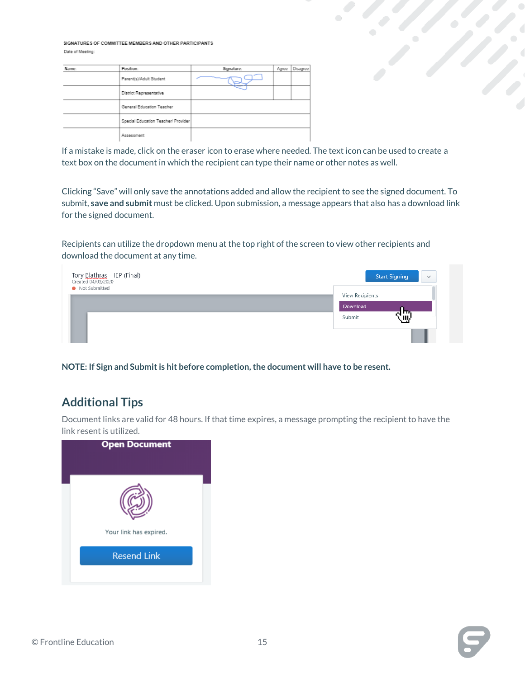SIGNATURES OF COMMITTEE MEMBERS AND OTHER PARTICIPANTS Date of Meeting:

| Name: | Position:                           | Signature: | Agree | Disagree |
|-------|-------------------------------------|------------|-------|----------|
|       | Parent(s)/Adult Student             |            |       |          |
|       | District Representative             |            |       |          |
|       | General Education Teacher           |            |       |          |
|       | Special Education Teacher/ Provider |            |       |          |
|       | Assessment                          |            |       |          |

If a mistake is made, click on the eraser icon to erase where needed. The text icon can be used to create a text box on the document in which the recipient can type their name or other notes as well.

Clicking "Save" will only save the annotations added and allow the recipient to see the signed document. To submit, **save and submit** must be clicked. Upon submission, a message appears that also has a download link for the signed document.

Recipients can utilize the dropdown menu at the top right of the screen to view other recipients and download the document at any time.



**NOTE: If Sign and Submit is hit before completion, the document will have to be resent.** 

## <span id="page-14-0"></span>**Additional Tips**

Document links are valid for 48 hours. If that time expires, a message prompting the recipient to have the link resent is utilized.







 $\mathcal{O}(\mathcal{C})$